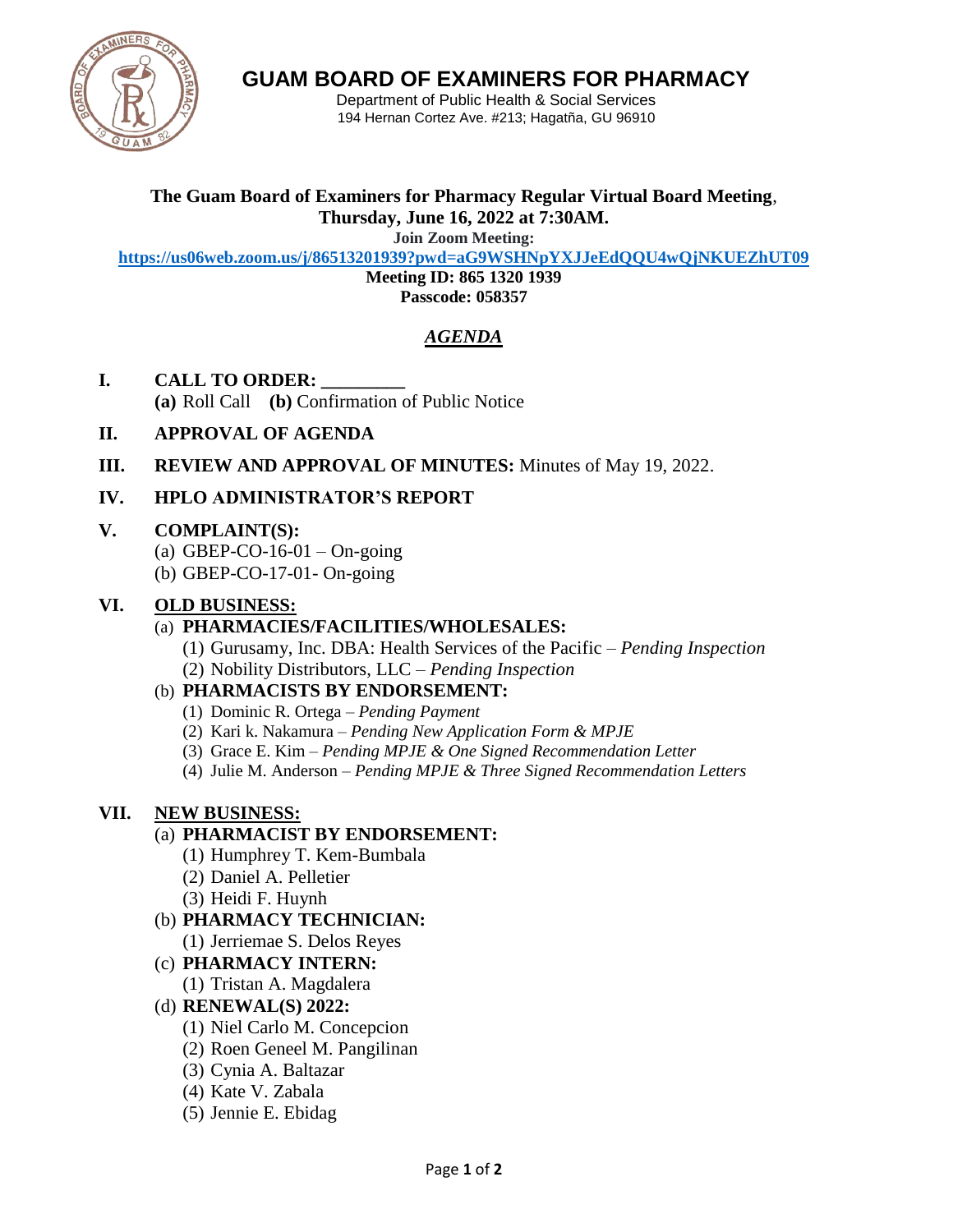

**GUAM BOARD OF EXAMINERS FOR PHARMACY**

Department of Public Health & Social Services 194 Hernan Cortez Ave. #213; Hagatña, GU 96910

#### **The Guam Board of Examiners for Pharmacy Regular Virtual Board Meeting**, **Thursday, June 16, 2022 at 7:30AM.**

**Join Zoom Meeting:**

**<https://us06web.zoom.us/j/86513201939?pwd=aG9WSHNpYXJJeEdQQU4wQjNKUEZhUT09>**

**Meeting ID: 865 1320 1939**

**Passcode: 058357**

# *AGENDA*

- **I. CALL TO ORDER: \_\_\_\_\_\_\_\_\_ (a)** Roll Call **(b)** Confirmation of Public Notice
- **II. APPROVAL OF AGENDA**
- **III. REVIEW AND APPROVAL OF MINUTES:** Minutes of May 19, 2022.
- **IV. HPLO ADMINISTRATOR'S REPORT**

#### **V. COMPLAINT(S):**

- (a) GBEP-CO-16-01 On-going
- (b) GBEP-CO-17-01- On-going

#### **VI. OLD BUSINESS:**

### (a) **PHARMACIES/FACILITIES/WHOLESALES:**

(1) Gurusamy, Inc. DBA: Health Services of the Pacific – *Pending Inspection* (2) Nobility Distributors, LLC – *Pending Inspection*

# (b) **PHARMACISTS BY ENDORSEMENT:**

- (1) Dominic R. Ortega *Pending Payment*
- (2) Kari k. Nakamura *Pending New Application Form & MPJE*
- (3) Grace E. Kim *Pending MPJE & One Signed Recommendation Letter*
- (4) Julie M. Anderson *Pending MPJE & Three Signed Recommendation Letters*

# **VII. NEW BUSINESS:**

# (a) **PHARMACIST BY ENDORSEMENT:**

- (1) Humphrey T. Kem-Bumbala
- (2) Daniel A. Pelletier
- (3) Heidi F. Huynh
- (b) **PHARMACY TECHNICIAN:**
- (1) Jerriemae S. Delos Reyes
- (c) **PHARMACY INTERN:**
	- (1) Tristan A. Magdalera

# (d) **RENEWAL(S) 2022:**

- (1) Niel Carlo M. Concepcion
- (2) Roen Geneel M. Pangilinan
- (3) Cynia A. Baltazar
- (4) Kate V. Zabala
- (5) Jennie E. Ebidag